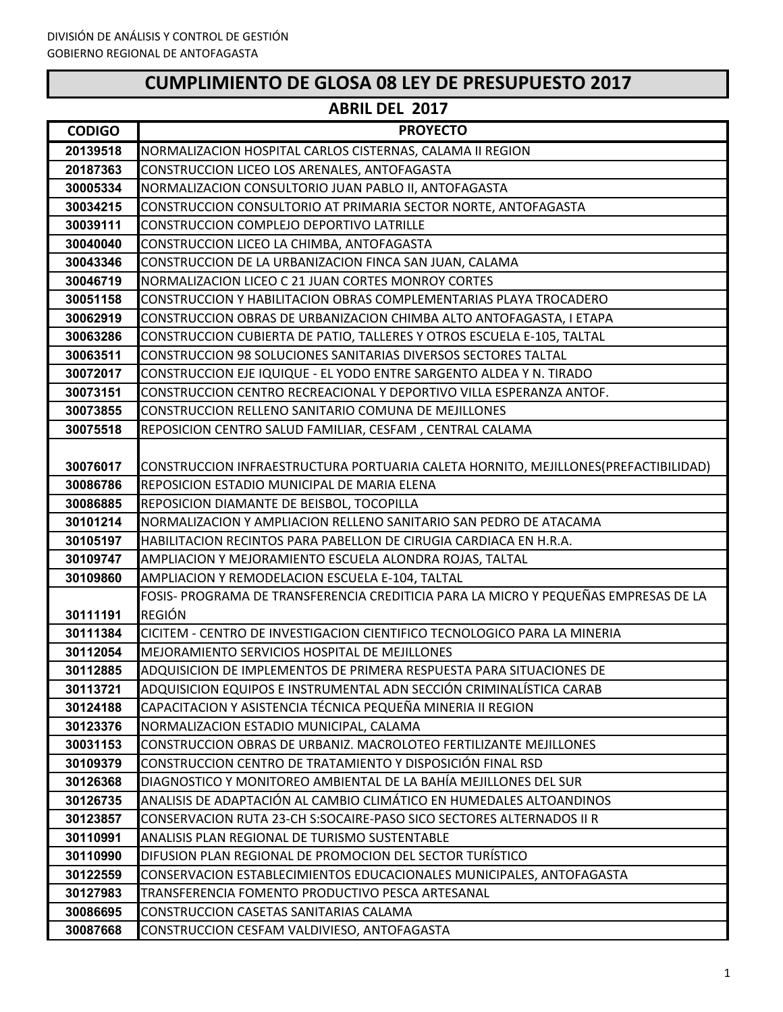# **CUMPLIMIENTO DE GLOSA 08 LEY DE PRESUPUESTO 2017**

| <b>CODIGO</b>        | <b>PROYECTO</b>                                                                                              |
|----------------------|--------------------------------------------------------------------------------------------------------------|
| 20139518             | NORMALIZACION HOSPITAL CARLOS CISTERNAS, CALAMA II REGION                                                    |
| 20187363             | CONSTRUCCION LICEO LOS ARENALES, ANTOFAGASTA                                                                 |
| 30005334             | NORMALIZACION CONSULTORIO JUAN PABLO II, ANTOFAGASTA                                                         |
| 30034215             | CONSTRUCCION CONSULTORIO AT PRIMARIA SECTOR NORTE, ANTOFAGASTA                                               |
| 30039111             | CONSTRUCCION COMPLEJO DEPORTIVO LATRILLE                                                                     |
| 30040040             | CONSTRUCCION LICEO LA CHIMBA, ANTOFAGASTA                                                                    |
| 30043346             | CONSTRUCCION DE LA URBANIZACION FINCA SAN JUAN, CALAMA                                                       |
| 30046719             | NORMALIZACION LICEO C 21 JUAN CORTES MONROY CORTES                                                           |
| 30051158             | CONSTRUCCION Y HABILITACION OBRAS COMPLEMENTARIAS PLAYA TROCADERO                                            |
| 30062919             | CONSTRUCCION OBRAS DE URBANIZACION CHIMBA ALTO ANTOFAGASTA, I ETAPA                                          |
| 30063286             | CONSTRUCCION CUBIERTA DE PATIO, TALLERES Y OTROS ESCUELA E-105, TALTAL                                       |
| 30063511             | CONSTRUCCION 98 SOLUCIONES SANITARIAS DIVERSOS SECTORES TALTAL                                               |
| 30072017             | CONSTRUCCION EJE IQUIQUE - EL YODO ENTRE SARGENTO ALDEA Y N. TIRADO                                          |
| 30073151             | CONSTRUCCION CENTRO RECREACIONAL Y DEPORTIVO VILLA ESPERANZA ANTOF.                                          |
| 30073855             | CONSTRUCCION RELLENO SANITARIO COMUNA DE MEJILLONES                                                          |
| 30075518             | REPOSICION CENTRO SALUD FAMILIAR, CESFAM, CENTRAL CALAMA                                                     |
|                      |                                                                                                              |
| 30076017             | CONSTRUCCION INFRAESTRUCTURA PORTUARIA CALETA HORNITO, MEJILLONES(PREFACTIBILIDAD)                           |
| 30086786             | REPOSICION ESTADIO MUNICIPAL DE MARIA ELENA                                                                  |
| 30086885             | REPOSICION DIAMANTE DE BEISBOL, TOCOPILLA                                                                    |
| 30101214             | NORMALIZACION Y AMPLIACION RELLENO SANITARIO SAN PEDRO DE ATACAMA                                            |
| 30105197             | HABILITACION RECINTOS PARA PABELLON DE CIRUGIA CARDIACA EN H.R.A.                                            |
| 30109747             | AMPLIACION Y MEJORAMIENTO ESCUELA ALONDRA ROJAS, TALTAL                                                      |
| 30109860             | AMPLIACION Y REMODELACION ESCUELA E-104, TALTAL                                                              |
|                      | FOSIS- PROGRAMA DE TRANSFERENCIA CREDITICIA PARA LA MICRO Y PEQUEÑAS EMPRESAS DE LA                          |
| 30111191             | <b>REGIÓN</b>                                                                                                |
| 30111384             | CICITEM - CENTRO DE INVESTIGACION CIENTIFICO TECNOLOGICO PARA LA MINERIA                                     |
| 30112054             | MEJORAMIENTO SERVICIOS HOSPITAL DE MEJILLONES                                                                |
| 30112885             | ADQUISICION DE IMPLEMENTOS DE PRIMERA RESPUESTA PARA SITUACIONES DE                                          |
| 30113721             | ADQUISICION EQUIPOS E INSTRUMENTAL ADN SECCIÓN CRIMINALÍSTICA CARAB                                          |
| 30124188             | CAPACITACION Y ASISTENCIA TÉCNICA PEQUEÑA MINERIA II REGION                                                  |
| 30123376             | NORMALIZACION ESTADIO MUNICIPAL, CALAMA<br>CONSTRUCCION OBRAS DE URBANIZ. MACROLOTEO FERTILIZANTE MEJILLONES |
| 30031153             | CONSTRUCCION CENTRO DE TRATAMIENTO Y DISPOSICIÓN FINAL RSD                                                   |
| 30109379             | DIAGNOSTICO Y MONITOREO AMBIENTAL DE LA BAHÍA MEJILLONES DEL SUR                                             |
| 30126368<br>30126735 | ANALISIS DE ADAPTACIÓN AL CAMBIO CLIMÁTICO EN HUMEDALES ALTOANDINOS                                          |
| 30123857             | CONSERVACION RUTA 23-CH S:SOCAIRE-PASO SICO SECTORES ALTERNADOS II R                                         |
| 30110991             | ANALISIS PLAN REGIONAL DE TURISMO SUSTENTABLE                                                                |
| 30110990             | DIFUSION PLAN REGIONAL DE PROMOCION DEL SECTOR TURÍSTICO                                                     |
| 30122559             | CONSERVACION ESTABLECIMIENTOS EDUCACIONALES MUNICIPALES, ANTOFAGASTA                                         |
| 30127983             | TRANSFERENCIA FOMENTO PRODUCTIVO PESCA ARTESANAL                                                             |
| 30086695             | CONSTRUCCION CASETAS SANITARIAS CALAMA                                                                       |
| 30087668             | CONSTRUCCION CESFAM VALDIVIESO, ANTOFAGASTA                                                                  |
|                      |                                                                                                              |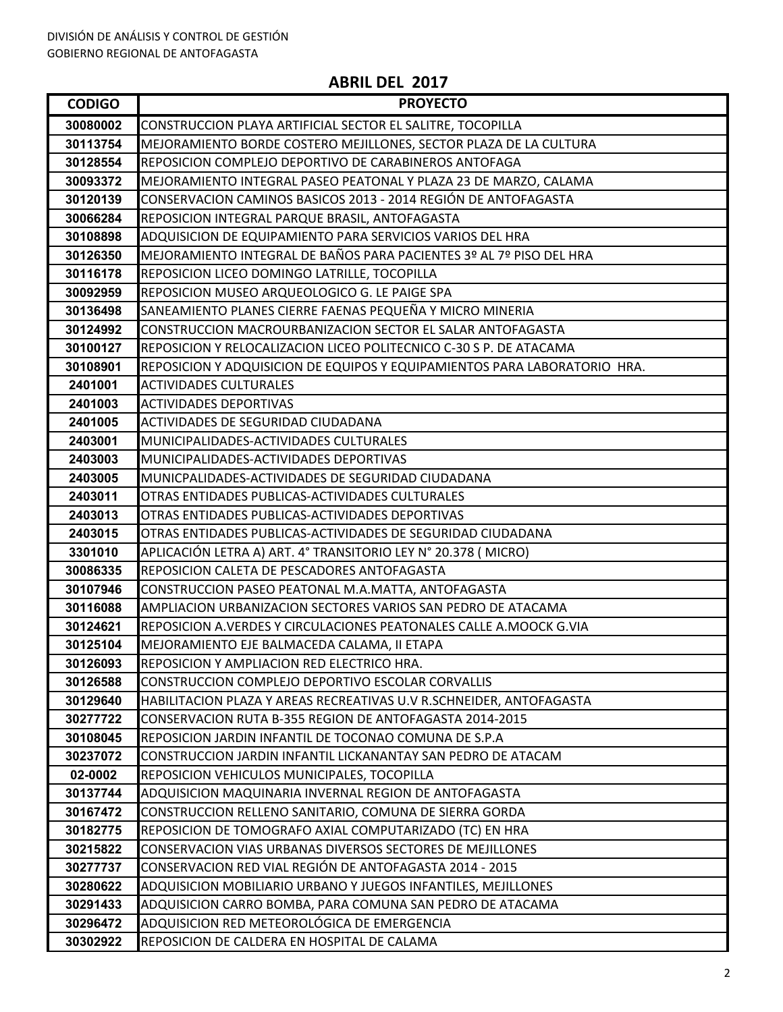| <b>CODIGO</b>        | <b>PROYECTO</b>                                                                                                      |
|----------------------|----------------------------------------------------------------------------------------------------------------------|
| 30080002             | CONSTRUCCION PLAYA ARTIFICIAL SECTOR EL SALITRE, TOCOPILLA                                                           |
| 30113754             | MEJORAMIENTO BORDE COSTERO MEJILLONES, SECTOR PLAZA DE LA CULTURA                                                    |
| 30128554             | REPOSICION COMPLEJO DEPORTIVO DE CARABINEROS ANTOFAGA                                                                |
| 30093372             | MEJORAMIENTO INTEGRAL PASEO PEATONAL Y PLAZA 23 DE MARZO, CALAMA                                                     |
| 30120139             | CONSERVACION CAMINOS BASICOS 2013 - 2014 REGIÓN DE ANTOFAGASTA                                                       |
| 30066284             | REPOSICION INTEGRAL PARQUE BRASIL, ANTOFAGASTA                                                                       |
| 30108898             | ADQUISICION DE EQUIPAMIENTO PARA SERVICIOS VARIOS DEL HRA                                                            |
| 30126350             | MEJORAMIENTO INTEGRAL DE BAÑOS PARA PACIENTES 3º AL 7º PISO DEL HRA                                                  |
| 30116178             | REPOSICION LICEO DOMINGO LATRILLE, TOCOPILLA                                                                         |
| 30092959             | REPOSICION MUSEO ARQUEOLOGICO G. LE PAIGE SPA                                                                        |
| 30136498             | SANEAMIENTO PLANES CIERRE FAENAS PEQUEÑA Y MICRO MINERIA                                                             |
| 30124992             | CONSTRUCCION MACROURBANIZACION SECTOR EL SALAR ANTOFAGASTA                                                           |
| 30100127             | REPOSICION Y RELOCALIZACION LICEO POLITECNICO C-30 S P. DE ATACAMA                                                   |
| 30108901             | REPOSICION Y ADQUISICION DE EQUIPOS Y EQUIPAMIENTOS PARA LABORATORIO HRA.                                            |
| 2401001              | <b>ACTIVIDADES CULTURALES</b>                                                                                        |
| 2401003              | <b>ACTIVIDADES DEPORTIVAS</b>                                                                                        |
| 2401005              | ACTIVIDADES DE SEGURIDAD CIUDADANA                                                                                   |
| 2403001              | MUNICIPALIDADES-ACTIVIDADES CULTURALES                                                                               |
| 2403003              | MUNICIPALIDADES-ACTIVIDADES DEPORTIVAS                                                                               |
| 2403005              | MUNICPALIDADES-ACTIVIDADES DE SEGURIDAD CIUDADANA                                                                    |
| 2403011              | OTRAS ENTIDADES PUBLICAS-ACTIVIDADES CULTURALES                                                                      |
| 2403013              | OTRAS ENTIDADES PUBLICAS-ACTIVIDADES DEPORTIVAS                                                                      |
| 2403015              | OTRAS ENTIDADES PUBLICAS-ACTIVIDADES DE SEGURIDAD CIUDADANA                                                          |
| 3301010              | APLICACIÓN LETRA A) ART. 4° TRANSITORIO LEY N° 20.378 (MICRO)                                                        |
| 30086335             | REPOSICION CALETA DE PESCADORES ANTOFAGASTA                                                                          |
| 30107946             | CONSTRUCCION PASEO PEATONAL M.A.MATTA, ANTOFAGASTA                                                                   |
| 30116088             | AMPLIACION URBANIZACION SECTORES VARIOS SAN PEDRO DE ATACAMA                                                         |
| 30124621             | REPOSICION A.VERDES Y CIRCULACIONES PEATONALES CALLE A.MOOCK G.VIA                                                   |
| 30125104             | MEJORAMIENTO EJE BALMACEDA CALAMA, II ETAPA                                                                          |
| 30126093             | REPOSICION Y AMPLIACION RED ELECTRICO HRA.                                                                           |
| 30126588             | CONSTRUCCION COMPLEJO DEPORTIVO ESCOLAR CORVALLIS                                                                    |
| 30129640             | HABILITACION PLAZA Y AREAS RECREATIVAS U.V R.SCHNEIDER, ANTOFAGASTA                                                  |
| 30277722             | CONSERVACION RUTA B-355 REGION DE ANTOFAGASTA 2014-2015                                                              |
| 30108045             | REPOSICION JARDIN INFANTIL DE TOCONAO COMUNA DE S.P.A                                                                |
| 30237072             | CONSTRUCCION JARDIN INFANTIL LICKANANTAY SAN PEDRO DE ATACAM                                                         |
| 02-0002              | REPOSICION VEHICULOS MUNICIPALES, TOCOPILLA                                                                          |
| 30137744<br>30167472 | ADQUISICION MAQUINARIA INVERNAL REGION DE ANTOFAGASTA<br>CONSTRUCCION RELLENO SANITARIO, COMUNA DE SIERRA GORDA      |
|                      |                                                                                                                      |
| 30182775             | REPOSICION DE TOMOGRAFO AXIAL COMPUTARIZADO (TC) EN HRA<br>CONSERVACION VIAS URBANAS DIVERSOS SECTORES DE MEJILLONES |
| 30215822<br>30277737 | CONSERVACION RED VIAL REGIÓN DE ANTOFAGASTA 2014 - 2015                                                              |
| 30280622             | ADQUISICION MOBILIARIO URBANO Y JUEGOS INFANTILES, MEJILLONES                                                        |
| 30291433             | ADQUISICION CARRO BOMBA, PARA COMUNA SAN PEDRO DE ATACAMA                                                            |
| 30296472             | ADQUISICION RED METEOROLÓGICA DE EMERGENCIA                                                                          |
| 30302922             | REPOSICION DE CALDERA EN HOSPITAL DE CALAMA                                                                          |
|                      |                                                                                                                      |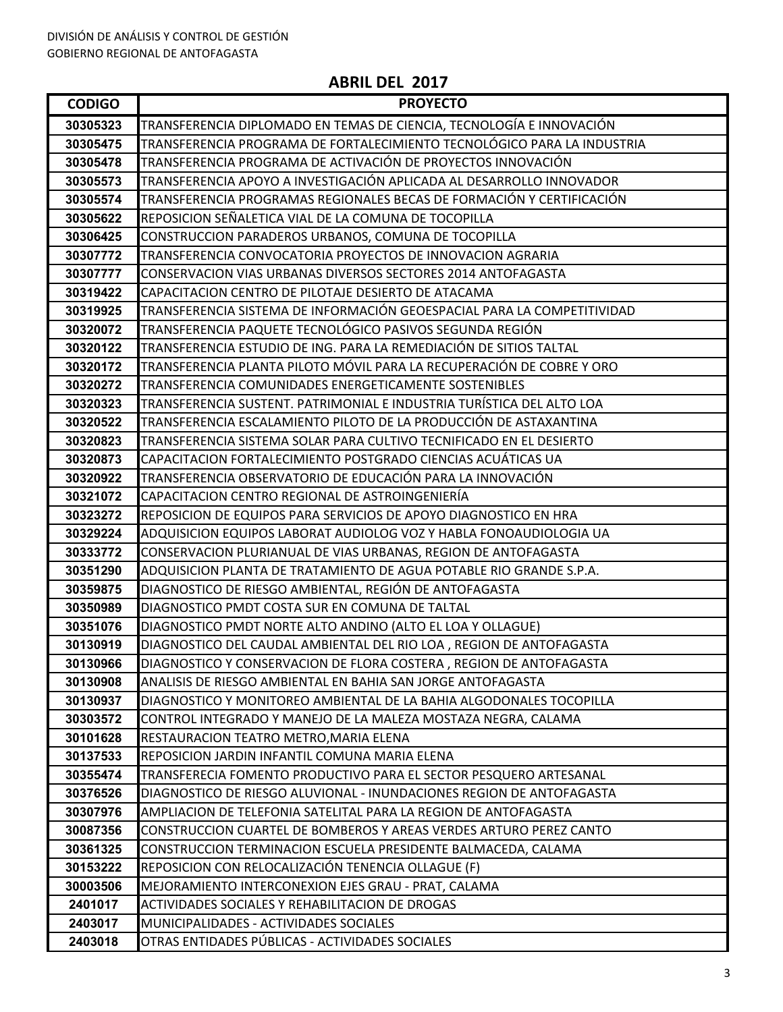| <b>CODIGO</b>      | <b>PROYECTO</b>                                                                                               |
|--------------------|---------------------------------------------------------------------------------------------------------------|
| 30305323           | TRANSFERENCIA DIPLOMADO EN TEMAS DE CIENCIA, TECNOLOGÍA E INNOVACIÓN                                          |
| 30305475           | TRANSFERENCIA PROGRAMA DE FORTALECIMIENTO TECNOLÓGICO PARA LA INDUSTRIA                                       |
| 30305478           | TRANSFERENCIA PROGRAMA DE ACTIVACIÓN DE PROYECTOS INNOVACIÓN                                                  |
| 30305573           | TRANSFERENCIA APOYO A INVESTIGACIÓN APLICADA AL DESARROLLO INNOVADOR                                          |
| 30305574           | TRANSFERENCIA PROGRAMAS REGIONALES BECAS DE FORMACIÓN Y CERTIFICACIÓN                                         |
| 30305622           | REPOSICION SEÑALETICA VIAL DE LA COMUNA DE TOCOPILLA                                                          |
| 30306425           | CONSTRUCCION PARADEROS URBANOS, COMUNA DE TOCOPILLA                                                           |
| 30307772           | TRANSFERENCIA CONVOCATORIA PROYECTOS DE INNOVACION AGRARIA                                                    |
| 30307777           | CONSERVACION VIAS URBANAS DIVERSOS SECTORES 2014 ANTOFAGASTA                                                  |
| 30319422           | CAPACITACION CENTRO DE PILOTAJE DESIERTO DE ATACAMA                                                           |
| 30319925           | TRANSFERENCIA SISTEMA DE INFORMACIÓN GEOESPACIAL PARA LA COMPETITIVIDAD                                       |
| 30320072           | TRANSFERENCIA PAQUETE TECNOLÓGICO PASIVOS SEGUNDA REGIÓN                                                      |
| 30320122           | TRANSFERENCIA ESTUDIO DE ING. PARA LA REMEDIACIÓN DE SITIOS TALTAL                                            |
| 30320172           | TRANSFERENCIA PLANTA PILOTO MÓVIL PARA LA RECUPERACIÓN DE COBRE Y ORO                                         |
| 30320272           | TRANSFERENCIA COMUNIDADES ENERGETICAMENTE SOSTENIBLES                                                         |
| 30320323           | TRANSFERENCIA SUSTENT. PATRIMONIAL E INDUSTRIA TURÍSTICA DEL ALTO LOA                                         |
| 30320522           | TRANSFERENCIA ESCALAMIENTO PILOTO DE LA PRODUCCIÓN DE ASTAXANTINA                                             |
| 30320823           | TRANSFERENCIA SISTEMA SOLAR PARA CULTIVO TECNIFICADO EN EL DESIERTO                                           |
| 30320873           | CAPACITACION FORTALECIMIENTO POSTGRADO CIENCIAS ACUÁTICAS UA                                                  |
| 30320922           | TRANSFERENCIA OBSERVATORIO DE EDUCACIÓN PARA LA INNOVACIÓN                                                    |
| 30321072           | CAPACITACION CENTRO REGIONAL DE ASTROINGENIERÍA                                                               |
| 30323272           | REPOSICION DE EQUIPOS PARA SERVICIOS DE APOYO DIAGNOSTICO EN HRA                                              |
| 30329224           | ADQUISICION EQUIPOS LABORAT AUDIOLOG VOZ Y HABLA FONOAUDIOLOGIA UA                                            |
| 30333772           | CONSERVACION PLURIANUAL DE VIAS URBANAS, REGION DE ANTOFAGASTA                                                |
| 30351290           | ADQUISICION PLANTA DE TRATAMIENTO DE AGUA POTABLE RIO GRANDE S.P.A.                                           |
| 30359875           | DIAGNOSTICO DE RIESGO AMBIENTAL, REGIÓN DE ANTOFAGASTA                                                        |
| 30350989           | DIAGNOSTICO PMDT COSTA SUR EN COMUNA DE TALTAL                                                                |
| 30351076           | DIAGNOSTICO PMDT NORTE ALTO ANDINO (ALTO EL LOA Y OLLAGUE)                                                    |
| 30130919           | DIAGNOSTICO DEL CAUDAL AMBIENTAL DEL RIO LOA , REGION DE ANTOFAGASTA                                          |
| 30130966           | DIAGNOSTICO Y CONSERVACION DE FLORA COSTERA, REGION DE ANTOFAGASTA                                            |
| 30130908           | ANALISIS DE RIESGO AMBIENTAL EN BAHIA SAN JORGE ANTOFAGASTA                                                   |
| 30130937           | DIAGNOSTICO Y MONITOREO AMBIENTAL DE LA BAHIA ALGODONALES TOCOPILLA                                           |
| 30303572           | CONTROL INTEGRADO Y MANEJO DE LA MALEZA MOSTAZA NEGRA, CALAMA                                                 |
| 30101628           | RESTAURACION TEATRO METRO, MARIA ELENA                                                                        |
| 30137533           | REPOSICION JARDIN INFANTIL COMUNA MARIA ELENA                                                                 |
| 30355474           | TRANSFERECIA FOMENTO PRODUCTIVO PARA EL SECTOR PESQUERO ARTESANAL                                             |
| 30376526           | DIAGNOSTICO DE RIESGO ALUVIONAL - INUNDACIONES REGION DE ANTOFAGASTA                                          |
| 30307976           | AMPLIACION DE TELEFONIA SATELITAL PARA LA REGION DE ANTOFAGASTA                                               |
| 30087356           | CONSTRUCCION CUARTEL DE BOMBEROS Y AREAS VERDES ARTURO PEREZ CANTO                                            |
| 30361325           | CONSTRUCCION TERMINACION ESCUELA PRESIDENTE BALMACEDA, CALAMA                                                 |
| 30153222           | REPOSICION CON RELOCALIZACIÓN TENENCIA OLLAGUE (F)                                                            |
| 30003506           | MEJORAMIENTO INTERCONEXION EJES GRAU - PRAT, CALAMA<br><b>ACTIVIDADES SOCIALES Y REHABILITACION DE DROGAS</b> |
| 2401017<br>2403017 | MUNICIPALIDADES - ACTIVIDADES SOCIALES                                                                        |
| 2403018            | OTRAS ENTIDADES PÚBLICAS - ACTIVIDADES SOCIALES                                                               |
|                    |                                                                                                               |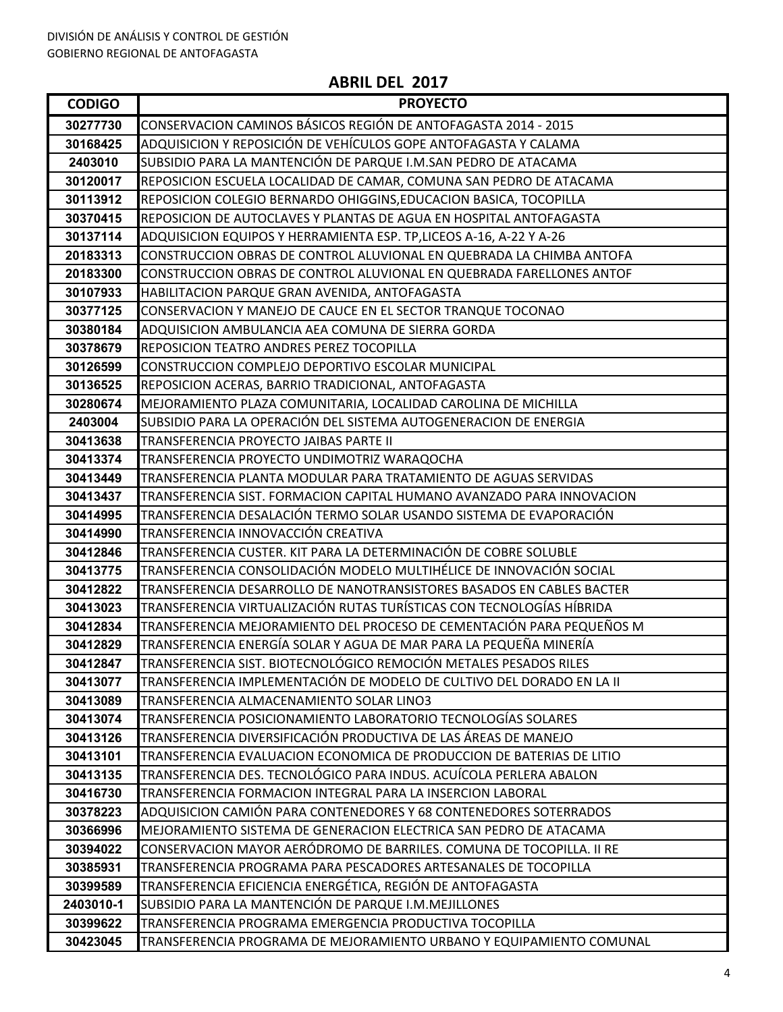**ABRIL DEL 2017**

| CONSERVACION CAMINOS BÁSICOS REGIÓN DE ANTOFAGASTA 2014 - 2015<br>30277730<br>ADQUISICION Y REPOSICIÓN DE VEHÍCULOS GOPE ANTOFAGASTA Y CALAMA<br>30168425<br>SUBSIDIO PARA LA MANTENCIÓN DE PARQUE I.M.SAN PEDRO DE ATACAMA<br>2403010<br>REPOSICION ESCUELA LOCALIDAD DE CAMAR, COMUNA SAN PEDRO DE ATACAMA<br>30120017<br>REPOSICION COLEGIO BERNARDO OHIGGINS, EDUCACION BASICA, TOCOPILLA<br>30113912<br>30370415<br>REPOSICION DE AUTOCLAVES Y PLANTAS DE AGUA EN HOSPITAL ANTOFAGASTA<br>30137114<br>ADQUISICION EQUIPOS Y HERRAMIENTA ESP. TP, LICEOS A-16, A-22 Y A-26<br>CONSTRUCCION OBRAS DE CONTROL ALUVIONAL EN QUEBRADA LA CHIMBA ANTOFA<br>20183313<br>CONSTRUCCION OBRAS DE CONTROL ALUVIONAL EN QUEBRADA FARELLONES ANTOF<br>20183300<br>30107933<br>HABILITACION PARQUE GRAN AVENIDA, ANTOFAGASTA<br>30377125<br>CONSERVACION Y MANEJO DE CAUCE EN EL SECTOR TRANQUE TOCONAO<br>30380184<br>ADQUISICION AMBULANCIA AEA COMUNA DE SIERRA GORDA<br>30378679<br>REPOSICION TEATRO ANDRES PEREZ TOCOPILLA<br>CONSTRUCCION COMPLEJO DEPORTIVO ESCOLAR MUNICIPAL<br>30126599<br>REPOSICION ACERAS, BARRIO TRADICIONAL, ANTOFAGASTA<br>30136525<br>MEJORAMIENTO PLAZA COMUNITARIA, LOCALIDAD CAROLINA DE MICHILLA<br>30280674<br>SUBSIDIO PARA LA OPERACIÓN DEL SISTEMA AUTOGENERACION DE ENERGIA<br>2403004<br>30413638<br>TRANSFERENCIA PROYECTO JAIBAS PARTE II<br>TRANSFERENCIA PROYECTO UNDIMOTRIZ WARAQOCHA<br>30413374<br>TRANSFERENCIA PLANTA MODULAR PARA TRATAMIENTO DE AGUAS SERVIDAS<br>30413449<br>30413437<br>TRANSFERENCIA SIST. FORMACION CAPITAL HUMANO AVANZADO PARA INNOVACION<br>TRANSFERENCIA DESALACIÓN TERMO SOLAR USANDO SISTEMA DE EVAPORACIÓN<br>30414995<br>TRANSFERENCIA INNOVACCIÓN CREATIVA<br>30414990<br>TRANSFERENCIA CUSTER. KIT PARA LA DETERMINACIÓN DE COBRE SOLUBLE<br>30412846<br>TRANSFERENCIA CONSOLIDACIÓN MODELO MULTIHÉLICE DE INNOVACIÓN SOCIAL<br>30413775<br>TRANSFERENCIA DESARROLLO DE NANOTRANSISTORES BASADOS EN CABLES BACTER<br>30412822<br>TRANSFERENCIA VIRTUALIZACIÓN RUTAS TURÍSTICAS CON TECNOLOGÍAS HÍBRIDA<br>30413023<br>TRANSFERENCIA MEJORAMIENTO DEL PROCESO DE CEMENTACIÓN PARA PEQUEÑOS M<br>30412834<br>TRANSFERENCIA ENERGÍA SOLAR Y AGUA DE MAR PARA LA PEQUEÑA MINERÍA<br>30412829<br>TRANSFERENCIA SIST. BIOTECNOLÓGICO REMOCIÓN METALES PESADOS RILES<br>30412847<br>TRANSFERENCIA IMPLEMENTACIÓN DE MODELO DE CULTIVO DEL DORADO EN LA II<br>30413077<br>30413089<br>TRANSFERENCIA ALMACENAMIENTO SOLAR LINO3<br>TRANSFERENCIA POSICIONAMIENTO LABORATORIO TECNOLOGÍAS SOLARES<br>30413074<br>TRANSFERENCIA DIVERSIFICACIÓN PRODUCTIVA DE LAS ÁREAS DE MANEJO<br>30413126<br>30413101<br>TRANSFERENCIA EVALUACION ECONOMICA DE PRODUCCION DE BATERIAS DE LITIO |
|----------------------------------------------------------------------------------------------------------------------------------------------------------------------------------------------------------------------------------------------------------------------------------------------------------------------------------------------------------------------------------------------------------------------------------------------------------------------------------------------------------------------------------------------------------------------------------------------------------------------------------------------------------------------------------------------------------------------------------------------------------------------------------------------------------------------------------------------------------------------------------------------------------------------------------------------------------------------------------------------------------------------------------------------------------------------------------------------------------------------------------------------------------------------------------------------------------------------------------------------------------------------------------------------------------------------------------------------------------------------------------------------------------------------------------------------------------------------------------------------------------------------------------------------------------------------------------------------------------------------------------------------------------------------------------------------------------------------------------------------------------------------------------------------------------------------------------------------------------------------------------------------------------------------------------------------------------------------------------------------------------------------------------------------------------------------------------------------------------------------------------------------------------------------------------------------------------------------------------------------------------------------------------------------------------------------------------------------------------------------------------------------------------------------------------------------------------------------------------------------------------------------------------------------------------------------------------------------------------------------------------------------------------------------------------------------------------------------------------------------------|
|                                                                                                                                                                                                                                                                                                                                                                                                                                                                                                                                                                                                                                                                                                                                                                                                                                                                                                                                                                                                                                                                                                                                                                                                                                                                                                                                                                                                                                                                                                                                                                                                                                                                                                                                                                                                                                                                                                                                                                                                                                                                                                                                                                                                                                                                                                                                                                                                                                                                                                                                                                                                                                                                                                                                                    |
|                                                                                                                                                                                                                                                                                                                                                                                                                                                                                                                                                                                                                                                                                                                                                                                                                                                                                                                                                                                                                                                                                                                                                                                                                                                                                                                                                                                                                                                                                                                                                                                                                                                                                                                                                                                                                                                                                                                                                                                                                                                                                                                                                                                                                                                                                                                                                                                                                                                                                                                                                                                                                                                                                                                                                    |
|                                                                                                                                                                                                                                                                                                                                                                                                                                                                                                                                                                                                                                                                                                                                                                                                                                                                                                                                                                                                                                                                                                                                                                                                                                                                                                                                                                                                                                                                                                                                                                                                                                                                                                                                                                                                                                                                                                                                                                                                                                                                                                                                                                                                                                                                                                                                                                                                                                                                                                                                                                                                                                                                                                                                                    |
|                                                                                                                                                                                                                                                                                                                                                                                                                                                                                                                                                                                                                                                                                                                                                                                                                                                                                                                                                                                                                                                                                                                                                                                                                                                                                                                                                                                                                                                                                                                                                                                                                                                                                                                                                                                                                                                                                                                                                                                                                                                                                                                                                                                                                                                                                                                                                                                                                                                                                                                                                                                                                                                                                                                                                    |
|                                                                                                                                                                                                                                                                                                                                                                                                                                                                                                                                                                                                                                                                                                                                                                                                                                                                                                                                                                                                                                                                                                                                                                                                                                                                                                                                                                                                                                                                                                                                                                                                                                                                                                                                                                                                                                                                                                                                                                                                                                                                                                                                                                                                                                                                                                                                                                                                                                                                                                                                                                                                                                                                                                                                                    |
|                                                                                                                                                                                                                                                                                                                                                                                                                                                                                                                                                                                                                                                                                                                                                                                                                                                                                                                                                                                                                                                                                                                                                                                                                                                                                                                                                                                                                                                                                                                                                                                                                                                                                                                                                                                                                                                                                                                                                                                                                                                                                                                                                                                                                                                                                                                                                                                                                                                                                                                                                                                                                                                                                                                                                    |
|                                                                                                                                                                                                                                                                                                                                                                                                                                                                                                                                                                                                                                                                                                                                                                                                                                                                                                                                                                                                                                                                                                                                                                                                                                                                                                                                                                                                                                                                                                                                                                                                                                                                                                                                                                                                                                                                                                                                                                                                                                                                                                                                                                                                                                                                                                                                                                                                                                                                                                                                                                                                                                                                                                                                                    |
|                                                                                                                                                                                                                                                                                                                                                                                                                                                                                                                                                                                                                                                                                                                                                                                                                                                                                                                                                                                                                                                                                                                                                                                                                                                                                                                                                                                                                                                                                                                                                                                                                                                                                                                                                                                                                                                                                                                                                                                                                                                                                                                                                                                                                                                                                                                                                                                                                                                                                                                                                                                                                                                                                                                                                    |
|                                                                                                                                                                                                                                                                                                                                                                                                                                                                                                                                                                                                                                                                                                                                                                                                                                                                                                                                                                                                                                                                                                                                                                                                                                                                                                                                                                                                                                                                                                                                                                                                                                                                                                                                                                                                                                                                                                                                                                                                                                                                                                                                                                                                                                                                                                                                                                                                                                                                                                                                                                                                                                                                                                                                                    |
|                                                                                                                                                                                                                                                                                                                                                                                                                                                                                                                                                                                                                                                                                                                                                                                                                                                                                                                                                                                                                                                                                                                                                                                                                                                                                                                                                                                                                                                                                                                                                                                                                                                                                                                                                                                                                                                                                                                                                                                                                                                                                                                                                                                                                                                                                                                                                                                                                                                                                                                                                                                                                                                                                                                                                    |
|                                                                                                                                                                                                                                                                                                                                                                                                                                                                                                                                                                                                                                                                                                                                                                                                                                                                                                                                                                                                                                                                                                                                                                                                                                                                                                                                                                                                                                                                                                                                                                                                                                                                                                                                                                                                                                                                                                                                                                                                                                                                                                                                                                                                                                                                                                                                                                                                                                                                                                                                                                                                                                                                                                                                                    |
|                                                                                                                                                                                                                                                                                                                                                                                                                                                                                                                                                                                                                                                                                                                                                                                                                                                                                                                                                                                                                                                                                                                                                                                                                                                                                                                                                                                                                                                                                                                                                                                                                                                                                                                                                                                                                                                                                                                                                                                                                                                                                                                                                                                                                                                                                                                                                                                                                                                                                                                                                                                                                                                                                                                                                    |
|                                                                                                                                                                                                                                                                                                                                                                                                                                                                                                                                                                                                                                                                                                                                                                                                                                                                                                                                                                                                                                                                                                                                                                                                                                                                                                                                                                                                                                                                                                                                                                                                                                                                                                                                                                                                                                                                                                                                                                                                                                                                                                                                                                                                                                                                                                                                                                                                                                                                                                                                                                                                                                                                                                                                                    |
|                                                                                                                                                                                                                                                                                                                                                                                                                                                                                                                                                                                                                                                                                                                                                                                                                                                                                                                                                                                                                                                                                                                                                                                                                                                                                                                                                                                                                                                                                                                                                                                                                                                                                                                                                                                                                                                                                                                                                                                                                                                                                                                                                                                                                                                                                                                                                                                                                                                                                                                                                                                                                                                                                                                                                    |
|                                                                                                                                                                                                                                                                                                                                                                                                                                                                                                                                                                                                                                                                                                                                                                                                                                                                                                                                                                                                                                                                                                                                                                                                                                                                                                                                                                                                                                                                                                                                                                                                                                                                                                                                                                                                                                                                                                                                                                                                                                                                                                                                                                                                                                                                                                                                                                                                                                                                                                                                                                                                                                                                                                                                                    |
|                                                                                                                                                                                                                                                                                                                                                                                                                                                                                                                                                                                                                                                                                                                                                                                                                                                                                                                                                                                                                                                                                                                                                                                                                                                                                                                                                                                                                                                                                                                                                                                                                                                                                                                                                                                                                                                                                                                                                                                                                                                                                                                                                                                                                                                                                                                                                                                                                                                                                                                                                                                                                                                                                                                                                    |
|                                                                                                                                                                                                                                                                                                                                                                                                                                                                                                                                                                                                                                                                                                                                                                                                                                                                                                                                                                                                                                                                                                                                                                                                                                                                                                                                                                                                                                                                                                                                                                                                                                                                                                                                                                                                                                                                                                                                                                                                                                                                                                                                                                                                                                                                                                                                                                                                                                                                                                                                                                                                                                                                                                                                                    |
|                                                                                                                                                                                                                                                                                                                                                                                                                                                                                                                                                                                                                                                                                                                                                                                                                                                                                                                                                                                                                                                                                                                                                                                                                                                                                                                                                                                                                                                                                                                                                                                                                                                                                                                                                                                                                                                                                                                                                                                                                                                                                                                                                                                                                                                                                                                                                                                                                                                                                                                                                                                                                                                                                                                                                    |
|                                                                                                                                                                                                                                                                                                                                                                                                                                                                                                                                                                                                                                                                                                                                                                                                                                                                                                                                                                                                                                                                                                                                                                                                                                                                                                                                                                                                                                                                                                                                                                                                                                                                                                                                                                                                                                                                                                                                                                                                                                                                                                                                                                                                                                                                                                                                                                                                                                                                                                                                                                                                                                                                                                                                                    |
|                                                                                                                                                                                                                                                                                                                                                                                                                                                                                                                                                                                                                                                                                                                                                                                                                                                                                                                                                                                                                                                                                                                                                                                                                                                                                                                                                                                                                                                                                                                                                                                                                                                                                                                                                                                                                                                                                                                                                                                                                                                                                                                                                                                                                                                                                                                                                                                                                                                                                                                                                                                                                                                                                                                                                    |
|                                                                                                                                                                                                                                                                                                                                                                                                                                                                                                                                                                                                                                                                                                                                                                                                                                                                                                                                                                                                                                                                                                                                                                                                                                                                                                                                                                                                                                                                                                                                                                                                                                                                                                                                                                                                                                                                                                                                                                                                                                                                                                                                                                                                                                                                                                                                                                                                                                                                                                                                                                                                                                                                                                                                                    |
|                                                                                                                                                                                                                                                                                                                                                                                                                                                                                                                                                                                                                                                                                                                                                                                                                                                                                                                                                                                                                                                                                                                                                                                                                                                                                                                                                                                                                                                                                                                                                                                                                                                                                                                                                                                                                                                                                                                                                                                                                                                                                                                                                                                                                                                                                                                                                                                                                                                                                                                                                                                                                                                                                                                                                    |
|                                                                                                                                                                                                                                                                                                                                                                                                                                                                                                                                                                                                                                                                                                                                                                                                                                                                                                                                                                                                                                                                                                                                                                                                                                                                                                                                                                                                                                                                                                                                                                                                                                                                                                                                                                                                                                                                                                                                                                                                                                                                                                                                                                                                                                                                                                                                                                                                                                                                                                                                                                                                                                                                                                                                                    |
|                                                                                                                                                                                                                                                                                                                                                                                                                                                                                                                                                                                                                                                                                                                                                                                                                                                                                                                                                                                                                                                                                                                                                                                                                                                                                                                                                                                                                                                                                                                                                                                                                                                                                                                                                                                                                                                                                                                                                                                                                                                                                                                                                                                                                                                                                                                                                                                                                                                                                                                                                                                                                                                                                                                                                    |
|                                                                                                                                                                                                                                                                                                                                                                                                                                                                                                                                                                                                                                                                                                                                                                                                                                                                                                                                                                                                                                                                                                                                                                                                                                                                                                                                                                                                                                                                                                                                                                                                                                                                                                                                                                                                                                                                                                                                                                                                                                                                                                                                                                                                                                                                                                                                                                                                                                                                                                                                                                                                                                                                                                                                                    |
|                                                                                                                                                                                                                                                                                                                                                                                                                                                                                                                                                                                                                                                                                                                                                                                                                                                                                                                                                                                                                                                                                                                                                                                                                                                                                                                                                                                                                                                                                                                                                                                                                                                                                                                                                                                                                                                                                                                                                                                                                                                                                                                                                                                                                                                                                                                                                                                                                                                                                                                                                                                                                                                                                                                                                    |
|                                                                                                                                                                                                                                                                                                                                                                                                                                                                                                                                                                                                                                                                                                                                                                                                                                                                                                                                                                                                                                                                                                                                                                                                                                                                                                                                                                                                                                                                                                                                                                                                                                                                                                                                                                                                                                                                                                                                                                                                                                                                                                                                                                                                                                                                                                                                                                                                                                                                                                                                                                                                                                                                                                                                                    |
|                                                                                                                                                                                                                                                                                                                                                                                                                                                                                                                                                                                                                                                                                                                                                                                                                                                                                                                                                                                                                                                                                                                                                                                                                                                                                                                                                                                                                                                                                                                                                                                                                                                                                                                                                                                                                                                                                                                                                                                                                                                                                                                                                                                                                                                                                                                                                                                                                                                                                                                                                                                                                                                                                                                                                    |
|                                                                                                                                                                                                                                                                                                                                                                                                                                                                                                                                                                                                                                                                                                                                                                                                                                                                                                                                                                                                                                                                                                                                                                                                                                                                                                                                                                                                                                                                                                                                                                                                                                                                                                                                                                                                                                                                                                                                                                                                                                                                                                                                                                                                                                                                                                                                                                                                                                                                                                                                                                                                                                                                                                                                                    |
|                                                                                                                                                                                                                                                                                                                                                                                                                                                                                                                                                                                                                                                                                                                                                                                                                                                                                                                                                                                                                                                                                                                                                                                                                                                                                                                                                                                                                                                                                                                                                                                                                                                                                                                                                                                                                                                                                                                                                                                                                                                                                                                                                                                                                                                                                                                                                                                                                                                                                                                                                                                                                                                                                                                                                    |
|                                                                                                                                                                                                                                                                                                                                                                                                                                                                                                                                                                                                                                                                                                                                                                                                                                                                                                                                                                                                                                                                                                                                                                                                                                                                                                                                                                                                                                                                                                                                                                                                                                                                                                                                                                                                                                                                                                                                                                                                                                                                                                                                                                                                                                                                                                                                                                                                                                                                                                                                                                                                                                                                                                                                                    |
|                                                                                                                                                                                                                                                                                                                                                                                                                                                                                                                                                                                                                                                                                                                                                                                                                                                                                                                                                                                                                                                                                                                                                                                                                                                                                                                                                                                                                                                                                                                                                                                                                                                                                                                                                                                                                                                                                                                                                                                                                                                                                                                                                                                                                                                                                                                                                                                                                                                                                                                                                                                                                                                                                                                                                    |
|                                                                                                                                                                                                                                                                                                                                                                                                                                                                                                                                                                                                                                                                                                                                                                                                                                                                                                                                                                                                                                                                                                                                                                                                                                                                                                                                                                                                                                                                                                                                                                                                                                                                                                                                                                                                                                                                                                                                                                                                                                                                                                                                                                                                                                                                                                                                                                                                                                                                                                                                                                                                                                                                                                                                                    |
|                                                                                                                                                                                                                                                                                                                                                                                                                                                                                                                                                                                                                                                                                                                                                                                                                                                                                                                                                                                                                                                                                                                                                                                                                                                                                                                                                                                                                                                                                                                                                                                                                                                                                                                                                                                                                                                                                                                                                                                                                                                                                                                                                                                                                                                                                                                                                                                                                                                                                                                                                                                                                                                                                                                                                    |
|                                                                                                                                                                                                                                                                                                                                                                                                                                                                                                                                                                                                                                                                                                                                                                                                                                                                                                                                                                                                                                                                                                                                                                                                                                                                                                                                                                                                                                                                                                                                                                                                                                                                                                                                                                                                                                                                                                                                                                                                                                                                                                                                                                                                                                                                                                                                                                                                                                                                                                                                                                                                                                                                                                                                                    |
| TRANSFERENCIA DES. TECNOLÓGICO PARA INDUS. ACUÍCOLA PERLERA ABALON<br>30413135<br> TRANSFERENCIA FORMACION INTEGRAL PARA LA INSERCION LABORAL                                                                                                                                                                                                                                                                                                                                                                                                                                                                                                                                                                                                                                                                                                                                                                                                                                                                                                                                                                                                                                                                                                                                                                                                                                                                                                                                                                                                                                                                                                                                                                                                                                                                                                                                                                                                                                                                                                                                                                                                                                                                                                                                                                                                                                                                                                                                                                                                                                                                                                                                                                                                      |
| 30416730<br>ADQUISICION CAMIÓN PARA CONTENEDORES Y 68 CONTENEDORES SOTERRADOS<br>30378223                                                                                                                                                                                                                                                                                                                                                                                                                                                                                                                                                                                                                                                                                                                                                                                                                                                                                                                                                                                                                                                                                                                                                                                                                                                                                                                                                                                                                                                                                                                                                                                                                                                                                                                                                                                                                                                                                                                                                                                                                                                                                                                                                                                                                                                                                                                                                                                                                                                                                                                                                                                                                                                          |
| 30366996<br>MEJORAMIENTO SISTEMA DE GENERACION ELECTRICA SAN PEDRO DE ATACAMA                                                                                                                                                                                                                                                                                                                                                                                                                                                                                                                                                                                                                                                                                                                                                                                                                                                                                                                                                                                                                                                                                                                                                                                                                                                                                                                                                                                                                                                                                                                                                                                                                                                                                                                                                                                                                                                                                                                                                                                                                                                                                                                                                                                                                                                                                                                                                                                                                                                                                                                                                                                                                                                                      |
| CONSERVACION MAYOR AERÓDROMO DE BARRILES. COMUNA DE TOCOPILLA. II RE                                                                                                                                                                                                                                                                                                                                                                                                                                                                                                                                                                                                                                                                                                                                                                                                                                                                                                                                                                                                                                                                                                                                                                                                                                                                                                                                                                                                                                                                                                                                                                                                                                                                                                                                                                                                                                                                                                                                                                                                                                                                                                                                                                                                                                                                                                                                                                                                                                                                                                                                                                                                                                                                               |
| 30394022<br>30385931<br>TRANSFERENCIA PROGRAMA PARA PESCADORES ARTESANALES DE TOCOPILLA                                                                                                                                                                                                                                                                                                                                                                                                                                                                                                                                                                                                                                                                                                                                                                                                                                                                                                                                                                                                                                                                                                                                                                                                                                                                                                                                                                                                                                                                                                                                                                                                                                                                                                                                                                                                                                                                                                                                                                                                                                                                                                                                                                                                                                                                                                                                                                                                                                                                                                                                                                                                                                                            |
| TRANSFERENCIA EFICIENCIA ENERGÉTICA, REGIÓN DE ANTOFAGASTA<br>30399589                                                                                                                                                                                                                                                                                                                                                                                                                                                                                                                                                                                                                                                                                                                                                                                                                                                                                                                                                                                                                                                                                                                                                                                                                                                                                                                                                                                                                                                                                                                                                                                                                                                                                                                                                                                                                                                                                                                                                                                                                                                                                                                                                                                                                                                                                                                                                                                                                                                                                                                                                                                                                                                                             |
| 2403010-1<br>SUBSIDIO PARA LA MANTENCIÓN DE PARQUE I.M.MEJILLONES                                                                                                                                                                                                                                                                                                                                                                                                                                                                                                                                                                                                                                                                                                                                                                                                                                                                                                                                                                                                                                                                                                                                                                                                                                                                                                                                                                                                                                                                                                                                                                                                                                                                                                                                                                                                                                                                                                                                                                                                                                                                                                                                                                                                                                                                                                                                                                                                                                                                                                                                                                                                                                                                                  |
| 30399622<br>TRANSFERENCIA PROGRAMA EMERGENCIA PRODUCTIVA TOCOPILLA                                                                                                                                                                                                                                                                                                                                                                                                                                                                                                                                                                                                                                                                                                                                                                                                                                                                                                                                                                                                                                                                                                                                                                                                                                                                                                                                                                                                                                                                                                                                                                                                                                                                                                                                                                                                                                                                                                                                                                                                                                                                                                                                                                                                                                                                                                                                                                                                                                                                                                                                                                                                                                                                                 |
| 30423045<br>TRANSFERENCIA PROGRAMA DE MEJORAMIENTO URBANO Y EQUIPAMIENTO COMUNAL                                                                                                                                                                                                                                                                                                                                                                                                                                                                                                                                                                                                                                                                                                                                                                                                                                                                                                                                                                                                                                                                                                                                                                                                                                                                                                                                                                                                                                                                                                                                                                                                                                                                                                                                                                                                                                                                                                                                                                                                                                                                                                                                                                                                                                                                                                                                                                                                                                                                                                                                                                                                                                                                   |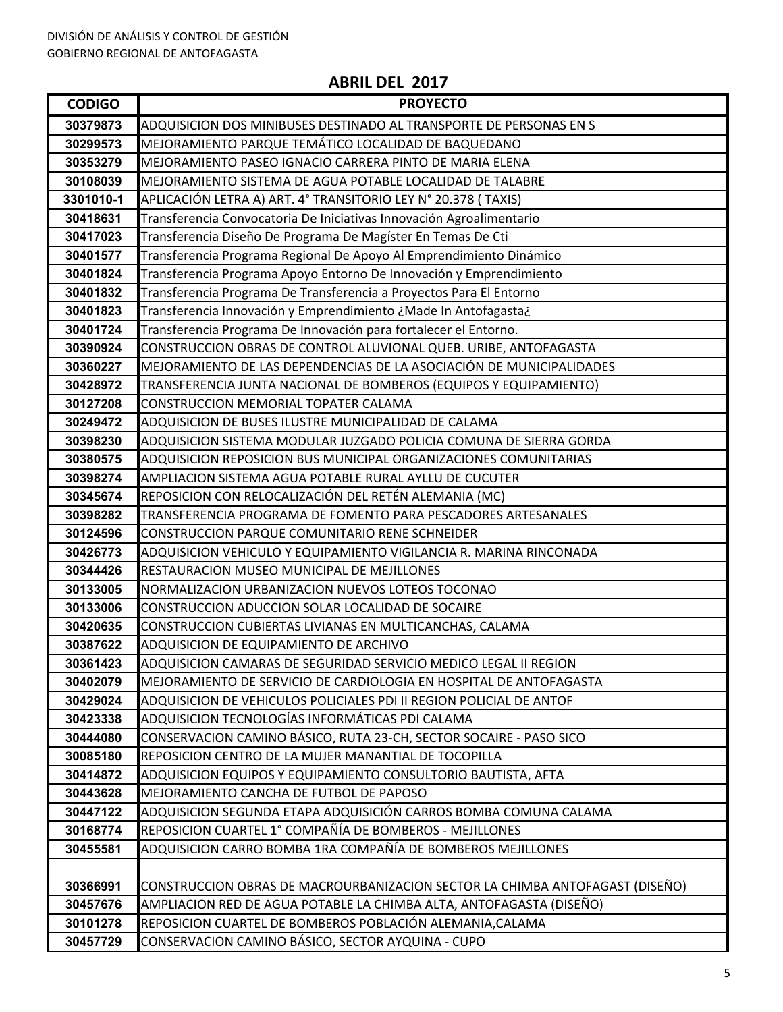| <b>CODIGO</b> | <b>PROYECTO</b>                                                              |
|---------------|------------------------------------------------------------------------------|
| 30379873      | ADQUISICION DOS MINIBUSES DESTINADO AL TRANSPORTE DE PERSONAS EN S           |
| 30299573      | MEJORAMIENTO PARQUE TEMÁTICO LOCALIDAD DE BAQUEDANO                          |
| 30353279      | MEJORAMIENTO PASEO IGNACIO CARRERA PINTO DE MARIA ELENA                      |
| 30108039      | MEJORAMIENTO SISTEMA DE AGUA POTABLE LOCALIDAD DE TALABRE                    |
| 3301010-1     | APLICACIÓN LETRA A) ART. 4° TRANSITORIO LEY N° 20.378 (TAXIS)                |
| 30418631      | Transferencia Convocatoria De Iniciativas Innovación Agroalimentario         |
| 30417023      | Transferencia Diseño De Programa De Magíster En Temas De Cti                 |
| 30401577      | Transferencia Programa Regional De Apoyo Al Emprendimiento Dinámico          |
| 30401824      | Transferencia Programa Apoyo Entorno De Innovación y Emprendimiento          |
| 30401832      | Transferencia Programa De Transferencia a Proyectos Para El Entorno          |
| 30401823      | Transferencia Innovación y Emprendimiento ¿Made In Antofagasta¿              |
| 30401724      | Transferencia Programa De Innovación para fortalecer el Entorno.             |
| 30390924      | CONSTRUCCION OBRAS DE CONTROL ALUVIONAL QUEB. URIBE, ANTOFAGASTA             |
| 30360227      | MEJORAMIENTO DE LAS DEPENDENCIAS DE LA ASOCIACIÓN DE MUNICIPALIDADES         |
| 30428972      | TRANSFERENCIA JUNTA NACIONAL DE BOMBEROS (EQUIPOS Y EQUIPAMIENTO)            |
| 30127208      | CONSTRUCCION MEMORIAL TOPATER CALAMA                                         |
| 30249472      | ADQUISICION DE BUSES ILUSTRE MUNICIPALIDAD DE CALAMA                         |
| 30398230      | ADQUISICION SISTEMA MODULAR JUZGADO POLICIA COMUNA DE SIERRA GORDA           |
| 30380575      | ADQUISICION REPOSICION BUS MUNICIPAL ORGANIZACIONES COMUNITARIAS             |
| 30398274      | AMPLIACION SISTEMA AGUA POTABLE RURAL AYLLU DE CUCUTER                       |
| 30345674      | REPOSICION CON RELOCALIZACIÓN DEL RETÉN ALEMANIA (MC)                        |
| 30398282      | TRANSFERENCIA PROGRAMA DE FOMENTO PARA PESCADORES ARTESANALES                |
| 30124596      | CONSTRUCCION PARQUE COMUNITARIO RENE SCHNEIDER                               |
| 30426773      | ADQUISICION VEHICULO Y EQUIPAMIENTO VIGILANCIA R. MARINA RINCONADA           |
| 30344426      | RESTAURACION MUSEO MUNICIPAL DE MEJILLONES                                   |
| 30133005      | NORMALIZACION URBANIZACION NUEVOS LOTEOS TOCONAO                             |
| 30133006      | CONSTRUCCION ADUCCION SOLAR LOCALIDAD DE SOCAIRE                             |
| 30420635      | CONSTRUCCION CUBIERTAS LIVIANAS EN MULTICANCHAS, CALAMA                      |
| 30387622      | ADQUISICION DE EQUIPAMIENTO DE ARCHIVO                                       |
| 30361423      | ADOUISICION CAMARAS DE SEGURIDAD SERVICIO MEDICO LEGAL II REGION             |
| 30402079      | MEJORAMIENTO DE SERVICIO DE CARDIOLOGIA EN HOSPITAL DE ANTOFAGASTA           |
| 30429024      | ADQUISICION DE VEHICULOS POLICIALES PDI II REGION POLICIAL DE ANTOF          |
| 30423338      | ADQUISICION TECNOLOGÍAS INFORMÁTICAS PDI CALAMA                              |
| 30444080      | CONSERVACION CAMINO BÁSICO, RUTA 23-CH, SECTOR SOCAIRE - PASO SICO           |
| 30085180      | REPOSICION CENTRO DE LA MUJER MANANTIAL DE TOCOPILLA                         |
| 30414872      | ADQUISICION EQUIPOS Y EQUIPAMIENTO CONSULTORIO BAUTISTA, AFTA                |
| 30443628      | MEJORAMIENTO CANCHA DE FUTBOL DE PAPOSO                                      |
| 30447122      | ADQUISICION SEGUNDA ETAPA ADQUISICIÓN CARROS BOMBA COMUNA CALAMA             |
| 30168774      | REPOSICION CUARTEL 1° COMPAÑÍA DE BOMBEROS - MEJILLONES                      |
| 30455581      | ADQUISICION CARRO BOMBA 1RA COMPAÑÍA DE BOMBEROS MEJILLONES                  |
|               |                                                                              |
| 30366991      | CONSTRUCCION OBRAS DE MACROURBANIZACION SECTOR LA CHIMBA ANTOFAGAST (DISEÑO) |
| 30457676      | AMPLIACION RED DE AGUA POTABLE LA CHIMBA ALTA, ANTOFAGASTA (DISEÑO)          |
| 30101278      | REPOSICION CUARTEL DE BOMBEROS POBLACIÓN ALEMANIA, CALAMA                    |
| 30457729      | CONSERVACION CAMINO BÁSICO, SECTOR AYQUINA - CUPO                            |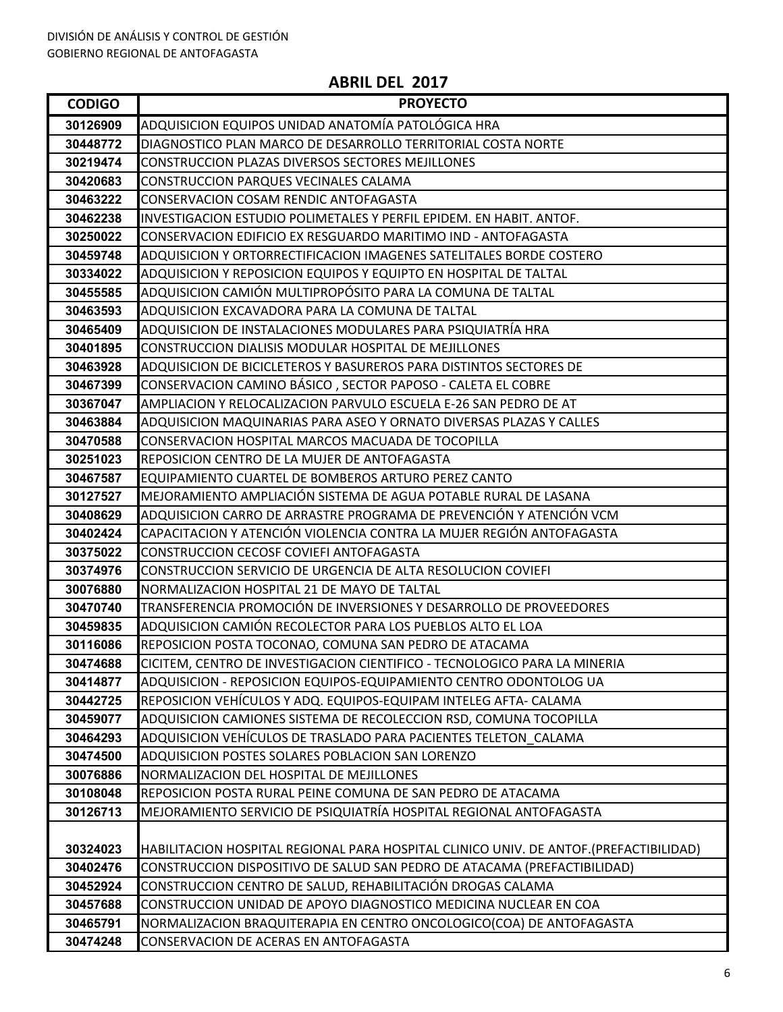| <b>CODIGO</b>        | <b>PROYECTO</b>                                                                       |
|----------------------|---------------------------------------------------------------------------------------|
| 30126909             | ADQUISICION EQUIPOS UNIDAD ANATOMÍA PATOLÓGICA HRA                                    |
| 30448772             | DIAGNOSTICO PLAN MARCO DE DESARROLLO TERRITORIAL COSTA NORTE                          |
| 30219474             | CONSTRUCCION PLAZAS DIVERSOS SECTORES MEJILLONES                                      |
| 30420683             | CONSTRUCCION PARQUES VECINALES CALAMA                                                 |
| 30463222             | CONSERVACION COSAM RENDIC ANTOFAGASTA                                                 |
| 30462238             | INVESTIGACION ESTUDIO POLIMETALES Y PERFIL EPIDEM. EN HABIT. ANTOF.                   |
| 30250022             | CONSERVACION EDIFICIO EX RESGUARDO MARITIMO IND - ANTOFAGASTA                         |
| 30459748             | ADQUISICION Y ORTORRECTIFICACION IMAGENES SATELITALES BORDE COSTERO                   |
| 30334022             | ADQUISICION Y REPOSICION EQUIPOS Y EQUIPTO EN HOSPITAL DE TALTAL                      |
| 30455585             | ADQUISICION CAMIÓN MULTIPROPÓSITO PARA LA COMUNA DE TALTAL                            |
| 30463593             | ADQUISICION EXCAVADORA PARA LA COMUNA DE TALTAL                                       |
| 30465409             | ADQUISICION DE INSTALACIONES MODULARES PARA PSIQUIATRÍA HRA                           |
| 30401895             | CONSTRUCCION DIALISIS MODULAR HOSPITAL DE MEJILLONES                                  |
| 30463928             | ADQUISICION DE BICICLETEROS Y BASUREROS PARA DISTINTOS SECTORES DE                    |
| 30467399             | CONSERVACION CAMINO BÁSICO, SECTOR PAPOSO - CALETA EL COBRE                           |
| 30367047             | AMPLIACION Y RELOCALIZACION PARVULO ESCUELA E-26 SAN PEDRO DE AT                      |
| 30463884             | ADQUISICION MAQUINARIAS PARA ASEO Y ORNATO DIVERSAS PLAZAS Y CALLES                   |
| 30470588             | CONSERVACION HOSPITAL MARCOS MACUADA DE TOCOPILLA                                     |
| 30251023             | REPOSICION CENTRO DE LA MUJER DE ANTOFAGASTA                                          |
| 30467587             | EQUIPAMIENTO CUARTEL DE BOMBEROS ARTURO PEREZ CANTO                                   |
| 30127527             | MEJORAMIENTO AMPLIACIÓN SISTEMA DE AGUA POTABLE RURAL DE LASANA                       |
| 30408629             | ADQUISICION CARRO DE ARRASTRE PROGRAMA DE PREVENCIÓN Y ATENCIÓN VCM                   |
| 30402424             | CAPACITACION Y ATENCIÓN VIOLENCIA CONTRA LA MUJER REGIÓN ANTOFAGASTA                  |
| 30375022             | CONSTRUCCION CECOSF COVIEFI ANTOFAGASTA                                               |
| 30374976             | CONSTRUCCION SERVICIO DE URGENCIA DE ALTA RESOLUCION COVIEFI                          |
| 30076880             | NORMALIZACION HOSPITAL 21 DE MAYO DE TALTAL                                           |
| 30470740             | TRANSFERENCIA PROMOCIÓN DE INVERSIONES Y DESARROLLO DE PROVEEDORES                    |
| 30459835             | ADQUISICION CAMIÓN RECOLECTOR PARA LOS PUEBLOS ALTO EL LOA                            |
| 30116086             | REPOSICION POSTA TOCONAO, COMUNA SAN PEDRO DE ATACAMA                                 |
| 30474688             | CICITEM, CENTRO DE INVESTIGACION CIENTIFICO - TECNOLOGICO PARA LA MINERIA             |
| 30414877             | ADQUISICION - REPOSICION EQUIPOS-EQUIPAMIENTO CENTRO ODONTOLOG UA                     |
| 30442725             | REPOSICION VEHÍCULOS Y ADQ. EQUIPOS-EQUIPAM INTELEG AFTA- CALAMA                      |
| 30459077             | ADQUISICION CAMIONES SISTEMA DE RECOLECCION RSD, COMUNA TOCOPILLA                     |
| 30464293             | ADQUISICION VEHÍCULOS DE TRASLADO PARA PACIENTES TELETON CALAMA                       |
| 30474500             | ADQUISICION POSTES SOLARES POBLACION SAN LORENZO                                      |
| 30076886             | NORMALIZACION DEL HOSPITAL DE MEJILLONES                                              |
| 30108048             | REPOSICION POSTA RURAL PEINE COMUNA DE SAN PEDRO DE ATACAMA                           |
| 30126713             | MEJORAMIENTO SERVICIO DE PSIQUIATRÍA HOSPITAL REGIONAL ANTOFAGASTA                    |
|                      |                                                                                       |
| 30324023<br>30402476 | HABILITACION HOSPITAL REGIONAL PARA HOSPITAL CLINICO UNIV. DE ANTOF.(PREFACTIBILIDAD) |
|                      | CONSTRUCCION DISPOSITIVO DE SALUD SAN PEDRO DE ATACAMA (PREFACTIBILIDAD)              |
| 30452924             | CONSTRUCCION CENTRO DE SALUD, REHABILITACIÓN DROGAS CALAMA                            |
| 30457688             | CONSTRUCCION UNIDAD DE APOYO DIAGNOSTICO MEDICINA NUCLEAR EN COA                      |
| 30465791             | NORMALIZACION BRAQUITERAPIA EN CENTRO ONCOLOGICO(COA) DE ANTOFAGASTA                  |
| 30474248             | CONSERVACION DE ACERAS EN ANTOFAGASTA                                                 |